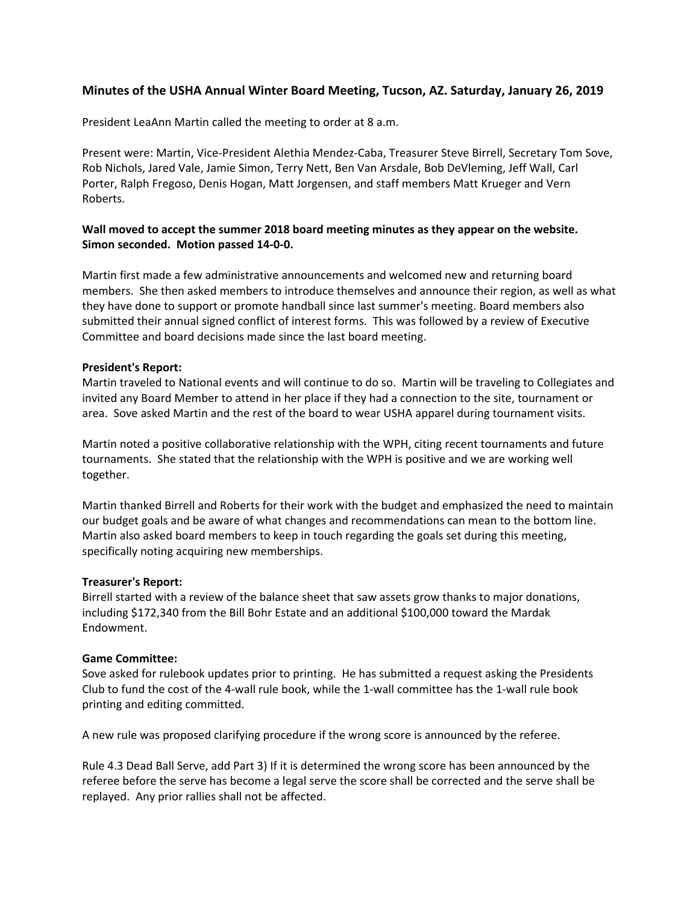# **Minutes of the USHA Annual Winter Board Meeting, Tucson, AZ. Saturday, January 26, 2019**

President LeaAnn Martin called the meeting to order at 8 a.m.

Present were: Martin, Vice‐President Alethia Mendez‐Caba, Treasurer Steve Birrell, Secretary Tom Sove, Rob Nichols, Jared Vale, Jamie Simon, Terry Nett, Ben Van Arsdale, Bob DeVleming, Jeff Wall, Carl Porter, Ralph Fregoso, Denis Hogan, Matt Jorgensen, and staff members Matt Krueger and Vern Roberts.

# **Wall moved to accept the summer 2018 board meeting minutes as they appear on the website. Simon seconded. Motion passed 14‐0‐0.**

Martin first made a few administrative announcements and welcomed new and returning board members. She then asked members to introduce themselves and announce their region, as well as what they have done to support or promote handball since last summer's meeting. Board members also submitted their annual signed conflict of interest forms. This was followed by a review of Executive Committee and board decisions made since the last board meeting.

## **President's Report:**

Martin traveled to National events and will continue to do so. Martin will be traveling to Collegiates and invited any Board Member to attend in her place if they had a connection to the site, tournament or area. Sove asked Martin and the rest of the board to wear USHA apparel during tournament visits.

Martin noted a positive collaborative relationship with the WPH, citing recent tournaments and future tournaments. She stated that the relationship with the WPH is positive and we are working well together.

Martin thanked Birrell and Roberts for their work with the budget and emphasized the need to maintain our budget goals and be aware of what changes and recommendations can mean to the bottom line. Martin also asked board members to keep in touch regarding the goals set during this meeting, specifically noting acquiring new memberships.

### **Treasurer's Report:**

Birrell started with a review of the balance sheet that saw assets grow thanks to major donations, including \$172,340 from the Bill Bohr Estate and an additional \$100,000 toward the Mardak Endowment.

## **Game Committee:**

Sove asked for rulebook updates prior to printing. He has submitted a request asking the Presidents Club to fund the cost of the 4‐wall rule book, while the 1‐wall committee has the 1‐wall rule book printing and editing committed.

A new rule was proposed clarifying procedure if the wrong score is announced by the referee.

Rule 4.3 Dead Ball Serve, add Part 3) If it is determined the wrong score has been announced by the referee before the serve has become a legal serve the score shall be corrected and the serve shall be replayed. Any prior rallies shall not be affected.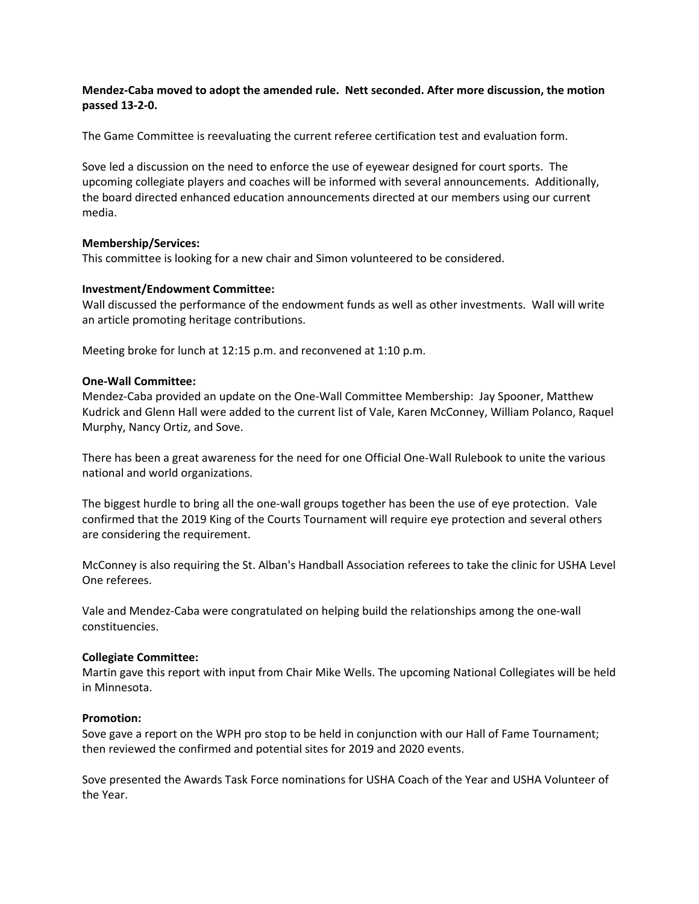## **Mendez‐Caba moved to adopt the amended rule. Nett seconded. After more discussion, the motion passed 13‐2‐0.**

The Game Committee is reevaluating the current referee certification test and evaluation form.

Sove led a discussion on the need to enforce the use of eyewear designed for court sports. The upcoming collegiate players and coaches will be informed with several announcements. Additionally, the board directed enhanced education announcements directed at our members using our current media.

## **Membership/Services:**

This committee is looking for a new chair and Simon volunteered to be considered.

## **Investment/Endowment Committee:**

Wall discussed the performance of the endowment funds as well as other investments. Wall will write an article promoting heritage contributions.

Meeting broke for lunch at 12:15 p.m. and reconvened at 1:10 p.m.

## **One‐Wall Committee:**

Mendez‐Caba provided an update on the One‐Wall Committee Membership: Jay Spooner, Matthew Kudrick and Glenn Hall were added to the current list of Vale, Karen McConney, William Polanco, Raquel Murphy, Nancy Ortiz, and Sove.

There has been a great awareness for the need for one Official One‐Wall Rulebook to unite the various national and world organizations.

The biggest hurdle to bring all the one‐wall groups together has been the use of eye protection. Vale confirmed that the 2019 King of the Courts Tournament will require eye protection and several others are considering the requirement.

McConney is also requiring the St. Alban's Handball Association referees to take the clinic for USHA Level One referees.

Vale and Mendez‐Caba were congratulated on helping build the relationships among the one‐wall constituencies.

### **Collegiate Committee:**

Martin gave this report with input from Chair Mike Wells. The upcoming National Collegiates will be held in Minnesota.

### **Promotion:**

Sove gave a report on the WPH pro stop to be held in conjunction with our Hall of Fame Tournament; then reviewed the confirmed and potential sites for 2019 and 2020 events.

Sove presented the Awards Task Force nominations for USHA Coach of the Year and USHA Volunteer of the Year.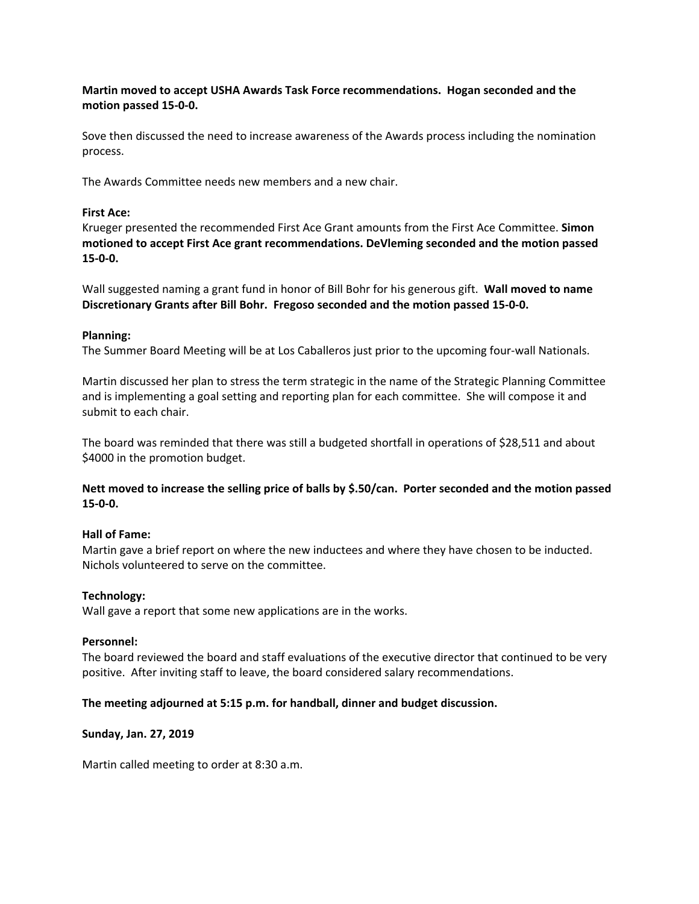# **Martin moved to accept USHA Awards Task Force recommendations. Hogan seconded and the motion passed 15‐0‐0.**

Sove then discussed the need to increase awareness of the Awards process including the nomination process.

The Awards Committee needs new members and a new chair.

## **First Ace:**

Krueger presented the recommended First Ace Grant amounts from the First Ace Committee. **Simon motioned to accept First Ace grant recommendations. DeVleming seconded and the motion passed 15‐0‐0.** 

Wall suggested naming a grant fund in honor of Bill Bohr for his generous gift. **Wall moved to name Discretionary Grants after Bill Bohr. Fregoso seconded and the motion passed 15‐0‐0.** 

## **Planning:**

The Summer Board Meeting will be at Los Caballeros just prior to the upcoming four‐wall Nationals.

Martin discussed her plan to stress the term strategic in the name of the Strategic Planning Committee and is implementing a goal setting and reporting plan for each committee. She will compose it and submit to each chair.

The board was reminded that there was still a budgeted shortfall in operations of \$28,511 and about \$4000 in the promotion budget.

**Nett moved to increase the selling price of balls by \$.50/can. Porter seconded and the motion passed 15‐0‐0.** 

## **Hall of Fame:**

Martin gave a brief report on where the new inductees and where they have chosen to be inducted. Nichols volunteered to serve on the committee.

## **Technology:**

Wall gave a report that some new applications are in the works.

### **Personnel:**

The board reviewed the board and staff evaluations of the executive director that continued to be very positive. After inviting staff to leave, the board considered salary recommendations.

### **The meeting adjourned at 5:15 p.m. for handball, dinner and budget discussion.**

### **Sunday, Jan. 27, 2019**

Martin called meeting to order at 8:30 a.m.